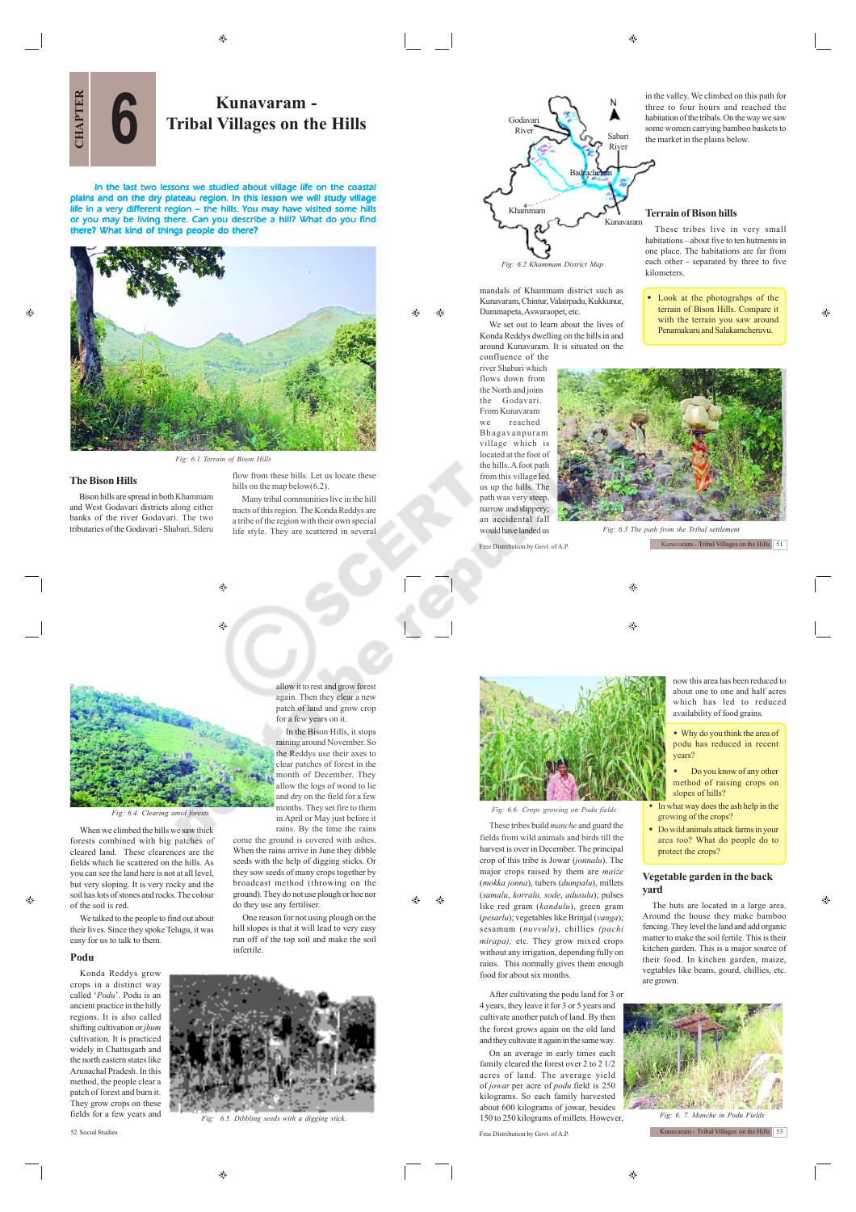⊕

 $\bigoplus$ 



# **Kunavaram - Tribal Villages on the Hills**

In the last two lessons we studied about village life on the coastal plains and on the dry plateau region. In this lesson we will study village life in a very different region – the hills. You may have visited some hills or you may be living there. Can you describe a hill? What do you find there? What kind of things people do there? **CHAPTER**



*Fig: 6.1 Terrain of Bison Hills*

۵

**The Bison Hills**

G.

Bison hills are spread in both Khammam and West Godavari districts along either banks of the river Godavari. The two tributaries of the Godavari - Shabari, Sileru

flow from these hills. Let us locate these hills on the map below(6.2). Many tribal communities live in the hill tracts of this region. The Konda Reddys are a tribe of the region with their own special life style. They are scattered in several



mandals of Khammam district such as Kunavaram, Chintur, Valairpadu, Kukkunur,

Dammapeta, Aswaraopet, etc. We set out to learn about the lives of Konda Reddys dwelling on the hills in and around Kunavaram. It is situated on the

confluence of the river Shabari which flows down from the North and joins the Godavari. From Kunavaram we reached Bhagavanpuram village which is located at the foot of the hills. A foot path from this village led us up the hills. The path was very steep, narrow and slippery; an accidental fall would have landed us in the valley. We climbed on this path for three to four hours and reached the habitation of the tribals. On the way we saw some women carrying bamboo baskets to the market in the plains below.

### **Terrain of Bison hills**

These tribes live in very small habitations – about five to ten hutments in one place. The habitations are far from each other - separated by three to five kilometers.

 Look at the photograhps of the terrain of Bison Hills. Compare it with the terrain you saw around Penamakuru and Salakamcheruvu.

A



Free Distribution by Govt. of A.P.

æ

 $\bigcirc$ 



*Fig: 6.4. Clearing amid forests*

When we climbed the hills we saw thick forests combined with big patches of cleared land. These clearences are the fields which lie scattered on the hills. As you can see the land here is not at all level, but very sloping. It is very rocky and the soil has lots of stones and rocks. The colour of the soil is red.

We talked to the people to find out about their lives. Since they spoke Telugu, it was easy for us to talk to them.

### **Podu**

Æ

Konda Reddys grow crops in a distinct way called '*Podu*'. Podu is an ancient practice in the hilly regions. It is also called shifting cultivation or *jhum* cultivation. It is practiced widely in Chattisgarh and the north eastern states like Arunachal Pradesh. In this method, the people clear a patch of forest and burn it. They grow crops on these fields for a few years and

again. Then they clear a new patch of land and grow crop for a few years on it. In the Bison Hills, it stops

raining around November. So the Reddys use their axes to clear patches of forest in the month of December. They allow the logs of wood to lie and dry on the field for a few months. They set fire to them in April or May just before it rains. By the time the rains

allow it to rest and grow forest

come the ground is covered with ashes. When the rains arrive in June they dibble seeds with the help of digging sticks. Or they sow seeds of many crops together by broadcast method (throwing on the ground). They do not use plough or hoe nor do they use any fertiliser. One reason for not using plough on the

hill slopes is that it will lead to very easy run off of the top soil and make the soil infertile.



*Fig: 6.5. Dibbling seeds with a digging stick.*



These tribes build *manche* and guard the fields from wild animals and birds till the harvest is over in December. The principal crop of this tribe is Jowar (*jonnalu*). The major crops raised by them are *maize* (*mokka jonna*), tubers (*dumpalu*), millets (*samalu*, *korralu, sode*, *adusulu*); pulses like red gram (*kandulu*), green gram (*pesarlu*); vegetables like Brinjal (*vanga*); sesamum (*nuvvulu*), chillies *(pachi mirapa);* etc. They grow mixed crops without any irrigation, depending fully on rains. This normally gives them enough food for about six months.

After cultivating the podu land for 3 or 4 years, they leave it for 3 or 5 years and cultivate another patch of land. By then the forest grows again on the old land and they cultivate it again in the same way.

52 Social Studies Free Distribution by Govt. of A.P. On an average in early times each family cleared the forest over 2 to 2 1/2 acres of land. The average yield of *jowar* per acre of *podu* field is 250 kilograms. So each family harvested about 600 kilograms of jowar, besides 150 to 250 kilograms of millets. However, *Fig: 6. 7. Manche in Podu Fields*

now this area has been reduced to about one to one and half acres which has led to reduced

availability of food grains. Why do you think the area of

podu has reduced in recent years?

- Do you know of any other method of raising crops on slopes of hills?
- In what way does the ash help in the growing of the crops?
- Do wild animals attack farms in your area too? What do people do to protect the crops?

### **Vegetable garden in the back yard**

The huts are located in a large area. Around the house they make bamboo fencing. They level the land and add organic matter to make the soil fertile. This is their kitchen garden. This is a major source of their food. In kitchen garden, maize, vegtables like beans, gourd, chillies, etc. are grown.



Kunavaram - Tribal Villages on the Hills 53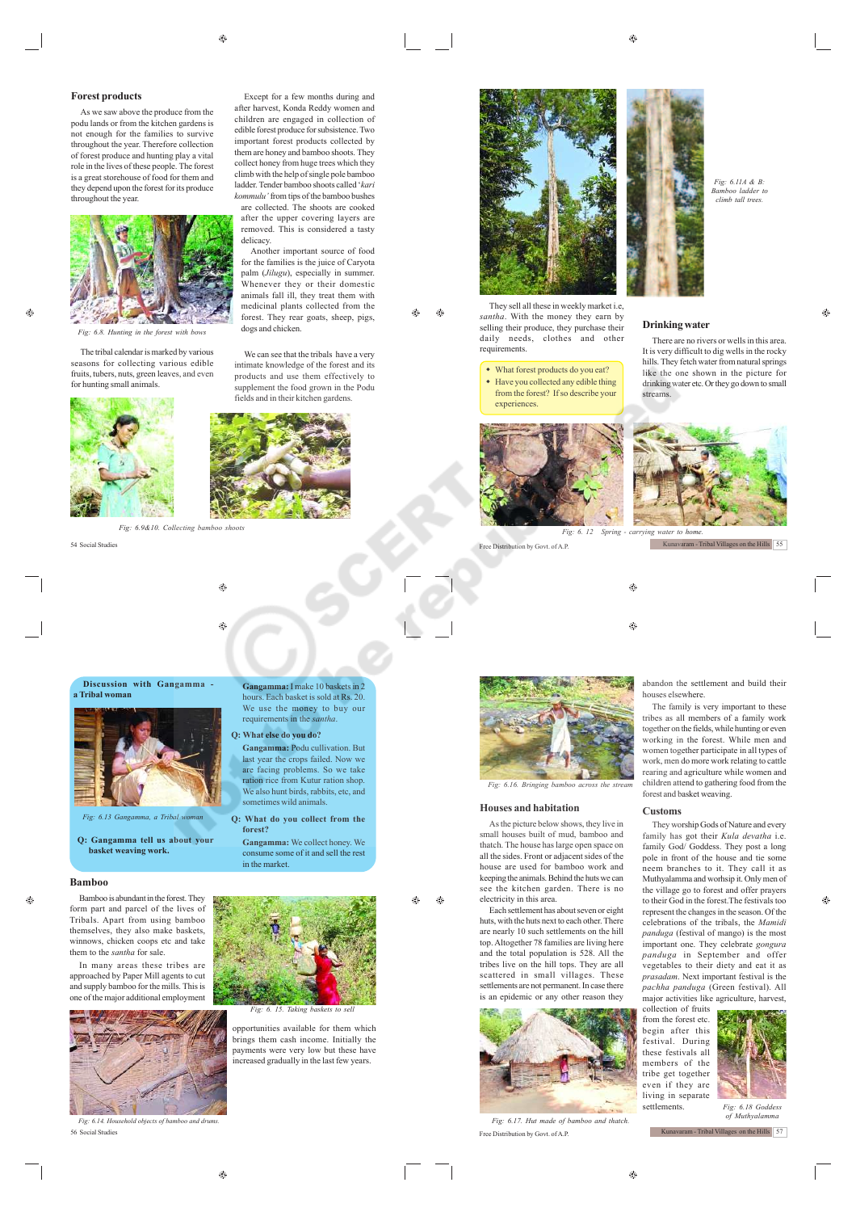Except for a few months during and after harvest, Konda Reddy women and children are engaged in collection of edible forest produce for subsistence. Two important forest products collected by them are honey and bamboo shoots. They collect honey from huge trees which they climb with the help of single pole bamboo ladder. Tender bamboo shoots called '*kari kommulu'* from tips of the bamboo bushes are collected. The shoots are cooked after the upper covering layers are removed. This is considered a tasty

Another important source of food for the families is the juice of Caryota palm (*Jilugu*), especially in summer. Whenever they or their domestic animals fall ill, they treat them with medicinal plants collected from the forest. They rear goats, sheep, pigs, dogs and chicken.

 $\triangle$  $\bigoplus$ 

### **Forest products**

As we saw above the produce from the podu lands or from the kitchen gardens is not enough for the families to survive throughout the year. Therefore collection of forest produce and hunting play a vital role in the lives of these people. The forest is a great storehouse of food for them and they depend upon the forest for its produce throughout the year.



*Fig: 6.8. Hunting in the forest with bows*

æ

The tribal calendar is marked by various seasons for collecting various edible fruits, tubers, nuts, green leaves, and even for hunting small animals.



*Fig: 6.9&10. Collecting bamboo shoots* 54 Social Studies Free Distribution by Govt. of A.P.

delicacy.



*Fig: 6.13 Gangamma, a Tribal woman*

**Q: Gangamma tell us about your basket weaving work.**

#### **Bamboo**

 $\oplus$ 

Bamboo is abundant in the forest. They form part and parcel of the lives of Tribals. Apart from using bamboo themselves, they also make baskets, winnows, chicken coops etc and take them to the *santha* for sale.

In many areas these tribes are approached by Paper Mill agents to cut and supply bamboo for the mills. This is one of the major additional employment



**Gangamma:** I make 10 baskets in 2 s. Each basket is sold at Rs. 20. We use the money to buy our requirements in the *santha*. **Q: What else do you do?**

- **Gangamma:** Podu cullivation. But
- last year the crops failed. Now we are facing problems. So we take ration rice from Kutur ration shop. We also hunt birds, rabbits, etc, and sometimes wild animals.
- **Q: What do you collect from the forest?**

**Gangamma:** We collect honey. We consume some of it and sell the rest in the market.

> Æ۵  $\bigoplus$



opportunities available for them which brings them cash income. Initially the payments were very low but these have increased gradually in the last few years.



*santha*. With the money they earn by samma. While the money diey can by<br>selling their produce, they purchase their<br>daily needs. clothes and other needs, clothes and other requirements.

#### What forest products do you eat?

 Have you collected any edible thing from the forest? If so describe your experiences.





۳  $\bigcirc$ 



*Fig: 6.16. Bringing bamboo across the stream*

### **Houses and habitation**

As the picture below shows, they live in small houses built of mud, bamboo and thatch. The house has large open space on all the sides. Front or adjacent sides of the house are used for bamboo work and keeping the animals. Behind the huts we can see the kitchen garden. There is no

electricity in this area. Each settlement has about seven or eight huts, with the huts next to each other. There are nearly 10 such settlements on the hill top. Altogether 78 families are living here and the total population is 528. All the tribes live on the hill tops. They are all scattered in small villages. These settlements are not permanent. In case there is an epidemic or any other reason they



56 Social Studies Free Distribution by Govt. of A.P.

*Fig: 6.11A & B: Bamboo ladder to climb tall trees.*

### **Drinking water**

There are no rivers or wells in this area. It is very difficult to dig wells in the rocky hills. They fetch water from natural springs like the one shown in the picture for drinking water etc. Or they go down to small streams.



abandon the settlement and build their ouses elsewhere. The family is very important to these

tribes as all members of a family work together on the fields, while hunting or even working in the forest. While men and women together participate in all types of work, men do more work relating to cattle rearing and agriculture while women and children attend to gathering food from the forest and basket weaving.

#### **Customs**

They worship Gods of Nature and every family has got their *Kula devatha* i.e. family God/ Goddess. They post a long pole in front of the house and tie some neem branches to it. They call it as Muthyalamma and worhsip it. Only men of the village go to forest and offer prayers to their God in the forest.The festivals too represent the changes in the season. Of the celebrations of the tribals, the *Mamidi panduga* (festival of mango) is the most important one. They celebrate *gongura panduga* in September and offer vegetables to their diety and eat it as *prasadam*. Next important festival is the *pachha panduga* (Green festival). All major activities like agriculture, harvest,

collection of fruits from the forest etc. begin after this festival. During these festivals all members of the tribe get together even if they are living in separate settlements.



*Fig: 6.18 Goddess of Muthyalamma*

Kunavaram - Tribal Villages on the Hills 57

 $\bigoplus$ 

fields and in their kitchen gardens.

We can see that the tribals have a very intimate knowledge of the forest and its products and use them effectively to supplement the food grown in the Podu

Æ,

۵